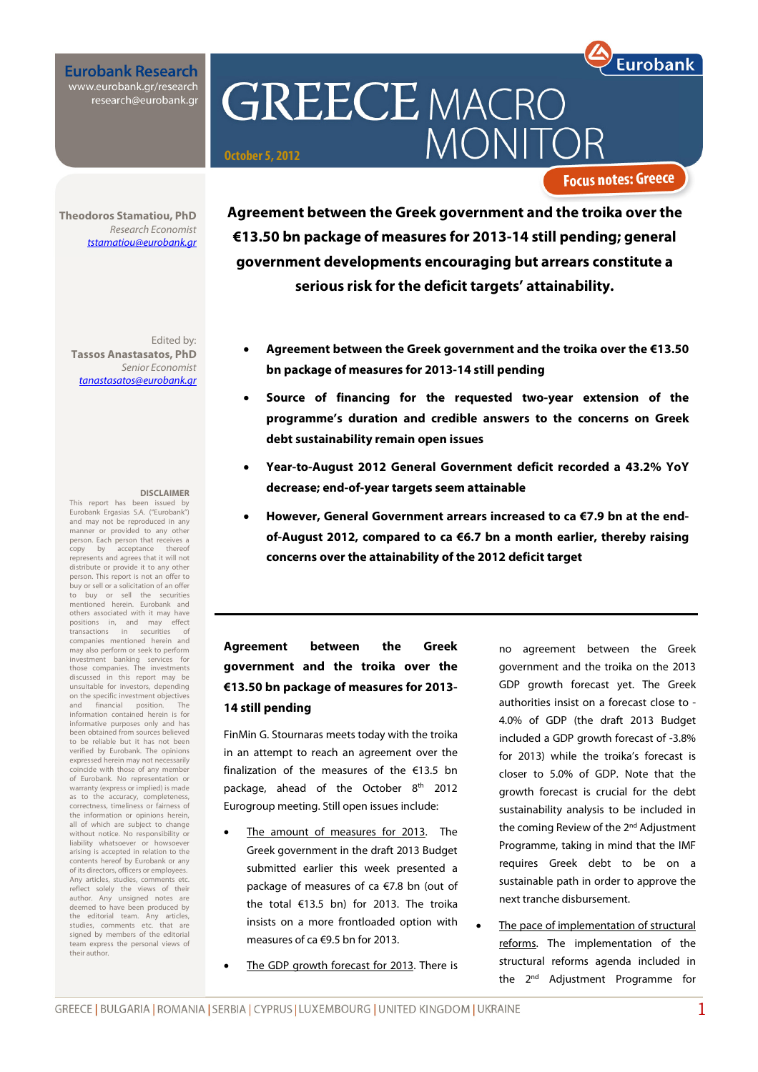**Eurobank Research** www.eurobank.gr/research<br>research@eurobank.gr

**GREECE MACRO MONI October 5, 2012**

**Focus notes: Greece** 

**Eurobank** 

**Theodoros Stamatiou, PhD**  Research Economist tstamatiou@eurobank.gr

Edited by: **Tassos Anastasatos, PhD**  Senior Economist tanastasatos@eurobank.gr

#### **DISCLAIMER**

This report has been issued by Eurobank Ergasias S.A. ("Eurobank") and may not be reproduced in any manner or provided to any other person. Each person that receives a copy by acceptance thereof represents and agrees that it will not distribute or provide it to any other person. This report is not an offer to buy or sell or a solicitation of an offer to buy or sell the securities mentioned herein. Eurobank and others associated with it may have<br>positions in, and may effect positions in, and may effect<br>transactions in securities of  $transactions$  in companies mentioned herein and may also perform or seek to perform investment banking services for those companies. The investments discussed in this report may be unsuitable for investors, depending on the specific investment objectives and financial position. The information contained herein is for informative purposes only and has been obtained from sources believed to be reliable but it has not been verified by Eurobank. The opinions expressed herein may not necessarily coincide with those of any member<br>of Eurobank No representation or of Eurobank. No represe warranty (express or implied) is made as to the accuracy, completeness, correctness, timeliness or fairness of the information or opinions herein, all of which are subject to change without notice. No responsibility or liability whatsoever or howsoever arising is accepted in relation to the contents hereof by Eurobank or any of its directors, officers or employees. Any articles, studies, comments etc. reflect solely the views of their author. Any unsigned notes are deemed to have been produced by the editorial team. Any articles, studies, comments etc. that are signed by members of the editorial team express the personal views of their author.

**Agreement between the Greek government and the troika over the €13.50 bn package of measures for 2013-14 still pending; general government developments encouraging but arrears constitute a serious risk for the deficit targets' attainability.** 

- **Agreement between the Greek government and the troika over the €13.50 bn package of measures for 2013-14 still pending**
- **Source of financing for the requested two-year extension of the programme's duration and credible answers to the concerns on Greek debt sustainability remain open issues**
- **Year-to-August 2012 General Government deficit recorded a 43.2% YoY decrease; end-of-year targets seem attainable**
- **However, General Government arrears increased to ca €7.9 bn at the endof-August 2012, compared to ca €6.7 bn a month earlier, thereby raising concerns over the attainability of the 2012 deficit target**

## **Agreement between the Greek government and the troika over the €13.50 bn package of measures for 2013- 14 still pending**

FinMin G. Stournaras meets today with the troika in an attempt to reach an agreement over the finalization of the measures of the €13.5 bn package, ahead of the October 8<sup>th</sup> 2012 Eurogroup meeting. Still open issues include:

- The amount of measures for 2013. The Greek government in the draft 2013 Budget submitted earlier this week presented a package of measures of ca €7.8 bn (out of the total €13.5 bn) for 2013. The troika insists on a more frontloaded option with measures of ca €9.5 bn for 2013.
- The GDP growth forecast for 2013. There is

no agreement between the Greek government and the troika on the 2013 GDP growth forecast yet. The Greek authorities insist on a forecast close to - 4.0% of GDP (the draft 2013 Budget included a GDP growth forecast of -3.8% for 2013) while the troika's forecast is closer to 5.0% of GDP. Note that the growth forecast is crucial for the debt sustainability analysis to be included in the coming Review of the 2<sup>nd</sup> Adjustment Programme, taking in mind that the IMF requires Greek debt to be on a sustainable path in order to approve the next tranche disbursement.

The pace of implementation of structural reforms. The implementation of the structural reforms agenda included in the 2<sup>nd</sup> Adjustment Programme for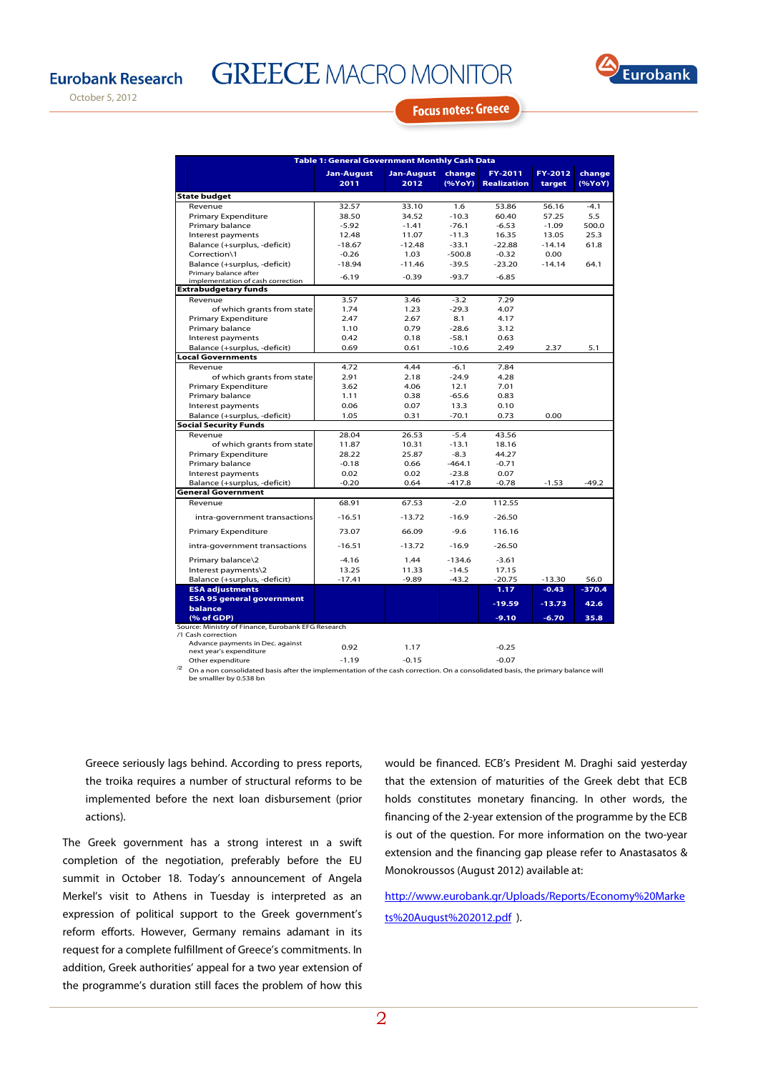**GREECE MACRO MONITOR** 



October 5, 2012

## **Focus notes: Greece**

| <b>Table 1: General Government Monthly Cash Data</b> |                           |                           |                    |                        |                   |                  |  |  |  |  |  |
|------------------------------------------------------|---------------------------|---------------------------|--------------------|------------------------|-------------------|------------------|--|--|--|--|--|
|                                                      | <b>Jan-August</b><br>2011 | <b>Jan-August</b><br>2012 | change<br>(%YoY)   | FY-2011<br>Realization | FY-2012<br>target | change<br>(%YoY) |  |  |  |  |  |
| <b>State budget</b>                                  |                           |                           |                    |                        |                   |                  |  |  |  |  |  |
| Revenue                                              | 32.57                     | 33.10                     | 1.6                | 53.86                  | 56.16             | $-4.1$           |  |  |  |  |  |
| <b>Primary Expenditure</b>                           | 38.50                     | 34.52                     | $-10.3$            | 60.40                  | 57.25             | 5.5              |  |  |  |  |  |
| Primary balance                                      | $-5.92$                   | $-1.41$                   | $-76.1$            | $-6.53$                | $-1.09$           | 500.0            |  |  |  |  |  |
| Interest payments                                    | 12.48                     | 11.07                     | $-11.3$            | 16.35                  | 13.05             | 25.3             |  |  |  |  |  |
| Balance (+surplus, -deficit)                         | $-18.67$                  | $-12.48$                  | $-33.1$            | $-22.88$               | $-14.14$          | 61.8             |  |  |  |  |  |
| Correction\1                                         | $-0.26$                   | 1.03                      | $-500.8$           | $-0.32$                | 0.00              |                  |  |  |  |  |  |
| Balance (+surplus, -deficit)                         | $-18.94$                  | $-11.46$                  | $-39.5$            | $-23.20$               | $-14.14$          | 64.1             |  |  |  |  |  |
| Primary balance after                                | $-6.19$                   | $-0.39$                   | $-93.7$            | $-6.85$                |                   |                  |  |  |  |  |  |
| implementation of cash correction                    |                           |                           |                    |                        |                   |                  |  |  |  |  |  |
| <b>Extrabudgetary funds</b>                          |                           |                           | $-3.2$             | 7.29                   |                   |                  |  |  |  |  |  |
| Revenue                                              | 3.57                      | 3.46                      |                    |                        |                   |                  |  |  |  |  |  |
| of which grants from state                           | 1.74                      | 1.23                      | $-29.3$<br>8.1     | 4.07                   |                   |                  |  |  |  |  |  |
| <b>Primary Expenditure</b>                           | 2.47                      | 2.67                      |                    | 4.17                   |                   |                  |  |  |  |  |  |
| Primary balance<br>Interest payments                 | 1.10<br>0.42              | 0.79<br>0.18              | $-28.6$<br>$-58.1$ | 3.12<br>0.63           |                   |                  |  |  |  |  |  |
| Balance (+surplus, -deficit)                         | 0.69                      | 0.61                      | $-10.6$            | 2.49                   | 2.37              | 5.1              |  |  |  |  |  |
| <b>Local Governments</b>                             |                           |                           |                    |                        |                   |                  |  |  |  |  |  |
| Revenue                                              | 4.72                      | 4.44                      | $-6.1$             | 7.84                   |                   |                  |  |  |  |  |  |
| of which grants from state                           | 2.91                      | 2.18                      | $-24.9$            | 4.28                   |                   |                  |  |  |  |  |  |
| <b>Primary Expenditure</b>                           | 3.62                      | 4.06                      | 12.1               | 7.01                   |                   |                  |  |  |  |  |  |
| Primary balance                                      | 1.11                      | 0.38                      | $-65.6$            | 0.83                   |                   |                  |  |  |  |  |  |
| Interest payments                                    | 0.06                      | 0.07                      | 13.3               | 0.10                   |                   |                  |  |  |  |  |  |
| Balance (+surplus, -deficit)                         | 1.05                      | 0.31                      | $-70.1$            | 0.73                   | 0.00              |                  |  |  |  |  |  |
| <b>Social Security Funds</b>                         |                           |                           |                    |                        |                   |                  |  |  |  |  |  |
| Revenue                                              | 28.04                     | 26.53                     | $-5.4$             | 43.56                  |                   |                  |  |  |  |  |  |
| of which grants from state                           | 11.87                     | 10.31                     | $-13.1$            | 18.16                  |                   |                  |  |  |  |  |  |
| <b>Primary Expenditure</b>                           | 28.22                     | 25.87                     | $-8.3$             | 44.27                  |                   |                  |  |  |  |  |  |
| Primary balance                                      | $-0.18$                   | 0.66                      | $-464.1$           | $-0.71$                |                   |                  |  |  |  |  |  |
| Interest payments                                    | 0.02                      | 0.02                      | $-23.8$            | 0.07                   |                   |                  |  |  |  |  |  |
| Balance (+surplus, -deficit)                         | $-0.20$                   | 0.64                      | $-417.8$           | $-0.78$                | $-1.53$           | $-49.2$          |  |  |  |  |  |
| <b>General Government</b>                            |                           |                           |                    |                        |                   |                  |  |  |  |  |  |
| Revenue                                              | 68.91                     | 67.53                     | $-2.0$             | 112.55                 |                   |                  |  |  |  |  |  |
| intra-government transactions                        | $-16.51$                  | $-13.72$                  | $-16.9$            | $-26.50$               |                   |                  |  |  |  |  |  |
| <b>Primary Expenditure</b>                           | 73.07                     | 66.09                     | $-9.6$             | 116.16                 |                   |                  |  |  |  |  |  |
| intra-government transactions                        | $-16.51$                  | $-13.72$                  | $-16.9$            | $-26.50$               |                   |                  |  |  |  |  |  |
| Primary balance\2                                    | $-4.16$                   | 1.44                      | $-134.6$           | $-3.61$                |                   |                  |  |  |  |  |  |
| Interest payments\2                                  | 13.25                     | 11.33                     | $-14.5$            | 17.15                  |                   |                  |  |  |  |  |  |
| Balance (+surplus, -deficit)                         | $-17.41$                  | $-9.89$                   | $-43.2$            | $-20.75$               | $-13.30$          | 56.0             |  |  |  |  |  |
| <b>ESA adjustments</b>                               |                           |                           |                    | 1.17                   | $-0.43$           | $-370.4$         |  |  |  |  |  |
| <b>ESA 95 general government</b>                     |                           |                           |                    | $-19.59$               | $-13.73$          | 42.6             |  |  |  |  |  |
| balance<br>(% of GDP)                                |                           |                           |                    | $-9.10$                | $-6.70$           | 35.8             |  |  |  |  |  |
| Source: Ministry of Finance, Eurobank EFG Research   |                           |                           |                    |                        |                   |                  |  |  |  |  |  |
| /1 Cash correction                                   |                           |                           |                    |                        |                   |                  |  |  |  |  |  |
| Advance payments in Dec. against                     | 0.92                      | 1.17                      |                    | $-0.25$                |                   |                  |  |  |  |  |  |
| next year's expenditure                              |                           |                           |                    |                        |                   |                  |  |  |  |  |  |
| Other expenditure                                    | $-119$                    | $-0.15$                   |                    | $-0.07$                |                   |                  |  |  |  |  |  |

Other expenditure -1.19 -0.15 -0.07 /2 On a non consolidated basis after the implementation of the cash correction. On a consolidated basis, the primary balance will be smalller by 0.538 bn

Greece seriously lags behind. According to press reports, the troika requires a number of structural reforms to be implemented before the next loan disbursement (prior actions).

The Greek government has a strong interest in a swift completion of the negotiation, preferably before the EU summit in October 18. Today's announcement of Angela Merkel's visit to Athens in Tuesday is interpreted as an expression of political support to the Greek government's reform efforts. However, Germany remains adamant in its request for a complete fulfillment of Greece's commitments. In addition, Greek authorities' appeal for a two year extension of the programme's duration still faces the problem of how this would be financed. ECB's President M. Draghi said yesterday that the extension of maturities of the Greek debt that ECB holds constitutes monetary financing. In other words, the financing of the 2-year extension of the programme by the ECB is out of the question. For more information on the two-year extension and the financing gap please refer to Anastasatos & Monokroussos (August 2012) available at:

http://www.eurobank.gr/Uploads/Reports/Economy%20Marke ts%20August%202012.pdf ).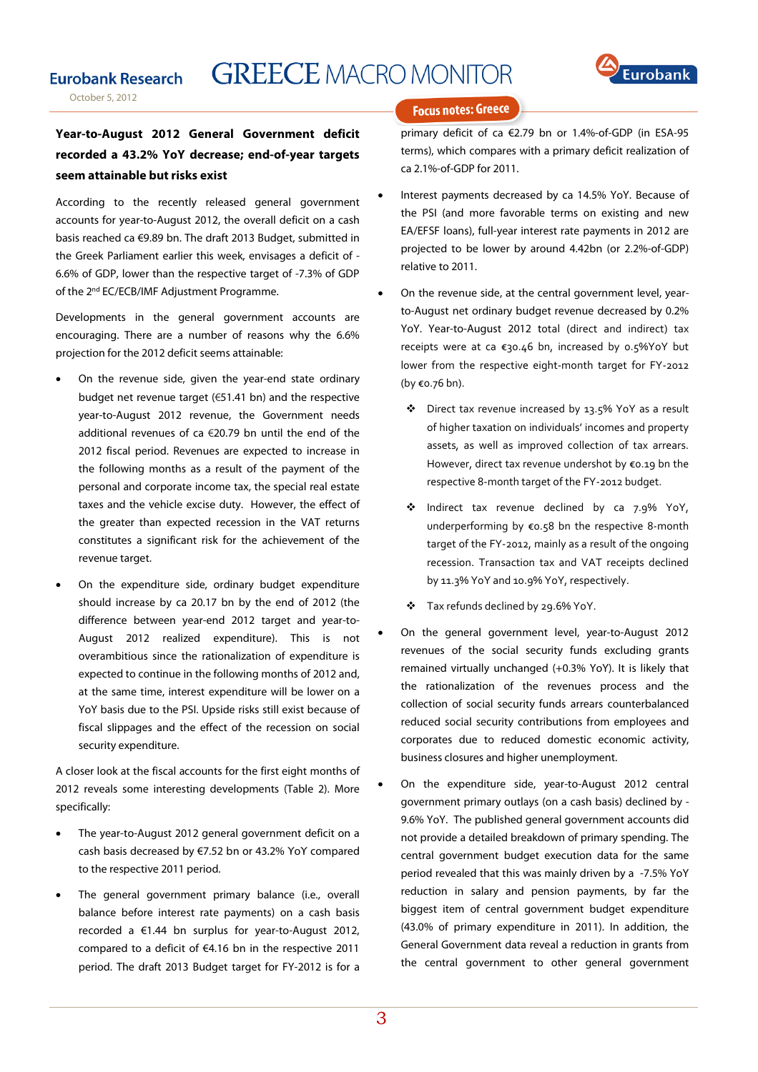## **GREECE MACRO MONITOR**



## **Year-to-August 2012 General Government deficit recorded a 43.2% YoY decrease; end-of-year targets seem attainable but risks exist**

According to the recently released general government accounts for year-to-August 2012, the overall deficit on a cash basis reached ca €9.89 bn. The draft 2013 Budget, submitted in the Greek Parliament earlier this week, envisages a deficit of - 6.6% of GDP, lower than the respective target of -7.3% of GDP of the 2<sup>nd</sup> EC/ECB/IMF Adjustment Programme.

Developments in the general government accounts are encouraging. There are a number of reasons why the 6.6% projection for the 2012 deficit seems attainable:

- On the revenue side, given the year-end state ordinary budget net revenue target (€51.41 bn) and the respective year-to-August 2012 revenue, the Government needs additional revenues of ca €20.79 bn until the end of the 2012 fiscal period. Revenues are expected to increase in the following months as a result of the payment of the personal and corporate income tax, the special real estate taxes and the vehicle excise duty. However, the effect of the greater than expected recession in the VAT returns constitutes a significant risk for the achievement of the revenue target.
- On the expenditure side, ordinary budget expenditure should increase by ca 20.17 bn by the end of 2012 (the difference between year-end 2012 target and year-to-August 2012 realized expenditure). This is not overambitious since the rationalization of expenditure is expected to continue in the following months of 2012 and, at the same time, interest expenditure will be lower on a YoY basis due to the PSI. Upside risks still exist because of fiscal slippages and the effect of the recession on social security expenditure.

A closer look at the fiscal accounts for the first eight months of 2012 reveals some interesting developments (Table 2). More specifically:

- The year-to-August 2012 general government deficit on a cash basis decreased by €7.52 bn or 43.2% ΥοΥ compared to the respective 2011 period.
- The general government primary balance (i.e., overall balance before interest rate payments) on a cash basis recorded a €1.44 bn surplus for year-to-August 2012, compared to a deficit of €4.16 bn in the respective 2011 period. The draft 2013 Budget target for FY‐2012 is for a

#### **Focus notes: Greece**

primary deficit of ca €2.79 bn or 1.4%‐of‐GDP (in ESA‐95 terms), which compares with a primary deficit realization of ca 2.1%‐of‐GDP for 2011.

- Interest payments decreased by ca 14.5% YoY. Because of the PSI (and more favorable terms on existing and new EA/EFSF loans), full‐year interest rate payments in 2012 are projected to be lower by around 4.42bn (or 2.2%‐of‐GDP) relative to 2011.
- On the revenue side, at the central government level, yearto-August net ordinary budget revenue decreased by 0.2% YoY. Year-to-August 2012 total (direct and indirect) tax receipts were at ca €30.46 bn, increased by 0.5%YoY but lower from the respective eight‐month target for FY‐2012 (by €0.76 bn).
	- Direct tax revenue increased by 13.5% YoY as a result of higher taxation on individuals' incomes and property assets, as well as improved collection of tax arrears. However, direct tax revenue undershot by €0.19 bn the respective 8‐month target of the FY‐2012 budget.
	- \* Indirect tax revenue declined by ca 7.9% YoY, underperforming by €0.58 bn the respective 8‐month target of the FY‐2012, mainly as a result of the ongoing recession. Transaction tax and VAT receipts declined by 11.3% YoY and 10.9% YoY, respectively.
	- Tax refunds declined by 29.6% YoY.
	- On the general government level, year-to-August 2012 revenues of the social security funds excluding grants remained virtually unchanged (+0.3% YoY). It is likely that the rationalization of the revenues process and the collection of social security funds arrears counterbalanced reduced social security contributions from employees and corporates due to reduced domestic economic activity, business closures and higher unemployment.
- On the expenditure side, year-to-August 2012 central government primary outlays (on a cash basis) declined by - 9.6% YoY. The published general government accounts did not provide a detailed breakdown of primary spending. The central government budget execution data for the same period revealed that this was mainly driven by a -7.5% YoY reduction in salary and pension payments, by far the biggest item of central government budget expenditure (43.0% of primary expenditure in 2011). In addition, the General Government data reveal a reduction in grants from the central government to other general government

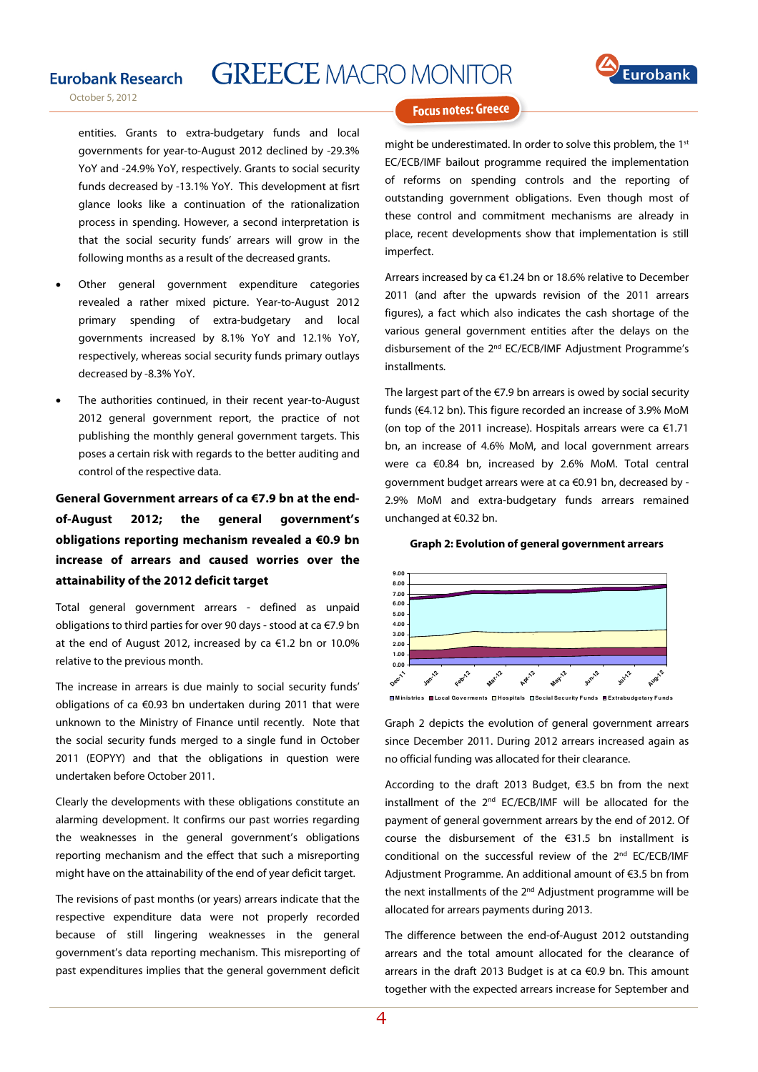### **Eurobank Research**

**GREECE MACRO MONITOR** 



October 5, 2012

**Focus notes: Greece** 

entities. Grants to extra-budgetary funds and local governments for year-to-August 2012 declined by -29.3% YoY and -24.9% YoY, respectively. Grants to social security funds decreased by -13.1% YoY. This development at fisrt glance looks like a continuation of the rationalization process in spending. However, a second interpretation is that the social security funds' arrears will grow in the following months as a result of the decreased grants.

- Other general government expenditure categories revealed a rather mixed picture. Year-to-August 2012 primary spending of extra-budgetary and local governments increased by 8.1% YoY and 12.1% YoY, respectively, whereas social security funds primary outlays decreased by -8.3% YoY.
- The authorities continued, in their recent year-to-August 2012 general government report, the practice of not publishing the monthly general government targets. This poses a certain risk with regards to the better auditing and control of the respective data.

**General Government arrears of ca €7.9 bn at the endof-August 2012; the general government's obligations reporting mechanism revealed a €0.9 bn increase of arrears and caused worries over the attainability of the 2012 deficit target** 

Total general government arrears ‐ defined as unpaid obligations to third parties for over 90 days ‐ stood at ca €7.9 bn at the end of August 2012, increased by ca €1.2 bn or 10.0% relative to the previous month.

The increase in arrears is due mainly to social security funds' obligations of ca €0.93 bn undertaken during 2011 that were unknown to the Ministry of Finance until recently. Note that the social security funds merged to a single fund in October 2011 (EOPYY) and that the obligations in question were undertaken before October 2011.

Clearly the developments with these obligations constitute an alarming development. It confirms our past worries regarding the weaknesses in the general government's obligations reporting mechanism and the effect that such a misreporting might have on the attainability of the end of year deficit target.

The revisions of past months (or years) arrears indicate that the respective expenditure data were not properly recorded because of still lingering weaknesses in the general government's data reporting mechanism. This misreporting of past expenditures implies that the general government deficit might be underestimated. In order to solve this problem, the 1st EC/ECB/IMF bailout programme required the implementation of reforms on spending controls and the reporting of outstanding government obligations. Even though most of these control and commitment mechanisms are already in place, recent developments show that implementation is still imperfect.

Arrears increased by ca €1.24 bn or 18.6% relative to December 2011 (and after the upwards revision of the 2011 arrears figures), a fact which also indicates the cash shortage of the various general government entities after the delays on the disbursement of the 2nd EC/ECB/IMF Adjustment Programme's installments.

The largest part of the  $E$ 7.9 bn arrears is owed by social security funds (€4.12 bn). This figure recorded an increase of 3.9% MoM (on top of the 2011 increase). Hospitals arrears were ca  $€1.71$ bn, an increase of 4.6% MoM, and local government arrears were ca €0.84 bn, increased by 2.6% MoM. Total central government budget arrears were at ca €0.91 bn, decreased by - 2.9% MoM and extra-budgetary funds arrears remained unchanged at €0.32 bn.

#### **Graph 2: Evolution of general government arrears**



**M in istrie s Lo cal Go ve rme nts Hospitals So cial Secu rity F u nd s Extrabu dg etary F u nd s**

Graph 2 depicts the evolution of general government arrears since December 2011. During 2012 arrears increased again as no official funding was allocated for their clearance.

According to the draft 2013 Budget, €3.5 bn from the next installment of the 2nd EC/ECB/IMF will be allocated for the payment of general government arrears by the end of 2012. Of course the disbursement of the €31.5 bn installment is conditional on the successful review of the 2<sup>nd</sup> EC/ECB/IMF Adjustment Programme. An additional amount of €3.5 bn from the next installments of the 2<sup>nd</sup> Adjustment programme will be allocated for arrears payments during 2013.

The difference between the end-of-August 2012 outstanding arrears and the total amount allocated for the clearance of arrears in the draft 2013 Budget is at ca €0.9 bn. This amount together with the expected arrears increase for September and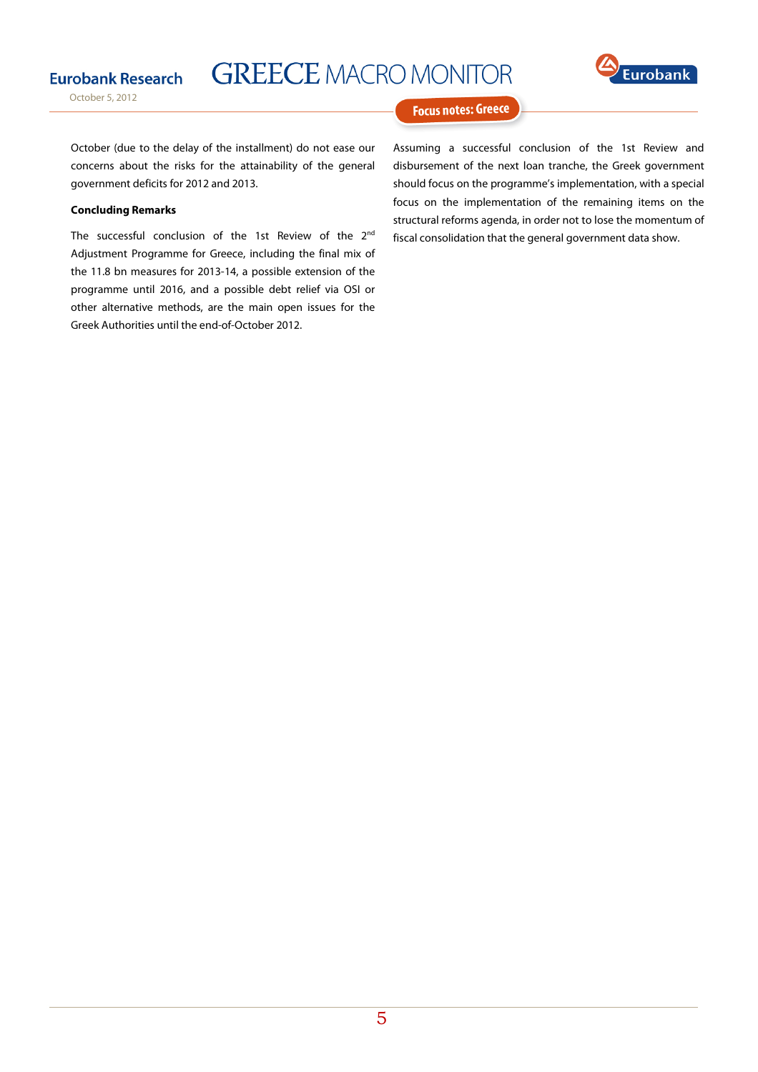

October 5, 2012

**GREECE MACRO MONITOR** 



#### **Focus notes: Greece**

October (due to the delay of the installment) do not ease our concerns about the risks for the attainability of the general government deficits for 2012 and 2013.

#### **Concluding Remarks**

The successful conclusion of the 1st Review of the 2<sup>nd</sup> Adjustment Programme for Greece, including the final mix of the 11.8 bn measures for 2013-14, a possible extension of the programme until 2016, and a possible debt relief via OSI or other alternative methods, are the main open issues for the Greek Authorities until the end-of-October 2012.

Assuming a successful conclusion of the 1st Review and disbursement of the next loan tranche, the Greek government should focus on the programme's implementation, with a special focus on the implementation of the remaining items on the structural reforms agenda, in order not to lose the momentum of fiscal consolidation that the general government data show.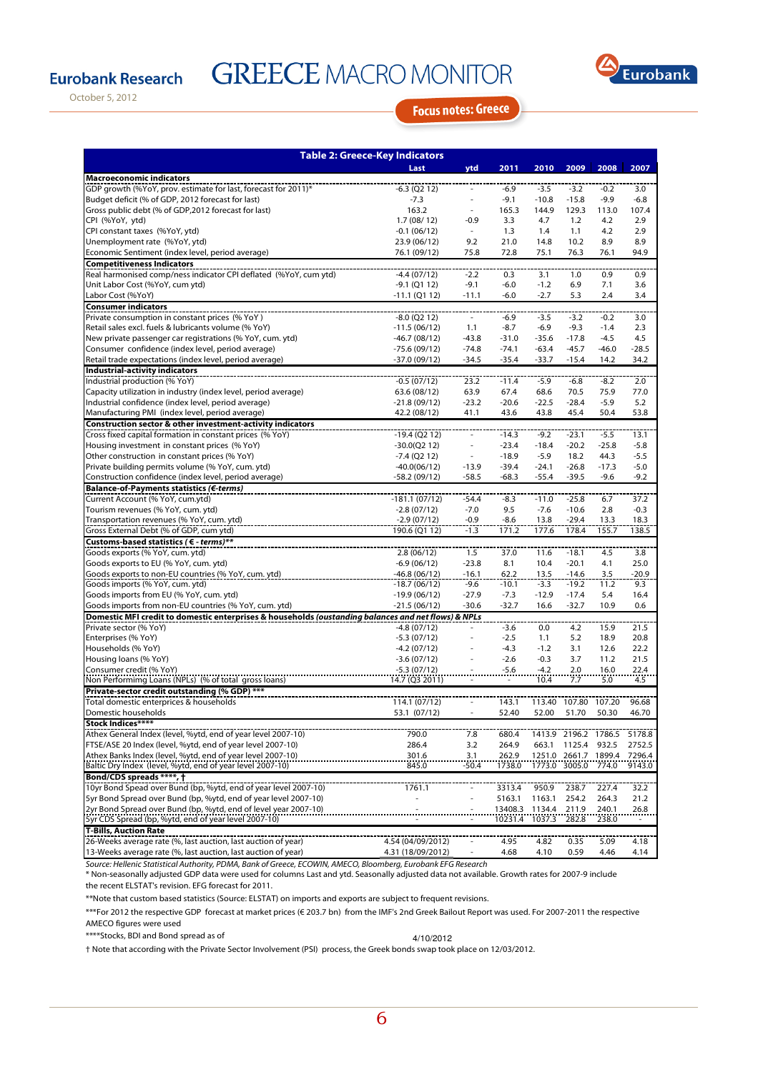## **Eurobank Research**

# **GREECE MACRO MONITOR**



October 5, 2012

## **Focus notes: Greece**

| <b>Table 2: Greece-Key Indicators</b>                                                                                   |                                   |                          |                  |                  |                |               |            |  |  |  |  |
|-------------------------------------------------------------------------------------------------------------------------|-----------------------------------|--------------------------|------------------|------------------|----------------|---------------|------------|--|--|--|--|
|                                                                                                                         | Last                              | ytd                      | 2011             | 2010             | 2009           | 2008          | 2007       |  |  |  |  |
| <b>Macroeconomic indicators</b>                                                                                         |                                   |                          |                  |                  |                |               |            |  |  |  |  |
| GDP growth (%YoY, prov. estimate for last, forecast for 2011)*                                                          | $-6.3$ (Q2 12)                    |                          | $-6.9$           | $-3.5$           | $-3.2$         | $-0.2$        | 3.0        |  |  |  |  |
| Budget deficit (% of GDP, 2012 forecast for last)                                                                       | $-7.3$                            | ÷,                       | $-9.1$           | $-10.8$          | $-15.8$        | $-9.9$        | $-6.8$     |  |  |  |  |
| Gross public debt (% of GDP,2012 forecast for last)                                                                     | 163.2                             | $\overline{\phantom{a}}$ | 165.3            | 144.9            | 129.3          | 113.0         | 107.4      |  |  |  |  |
| CPI (%YoY, ytd)                                                                                                         | 1.7(08/12)                        | $-0.9$                   | 3.3              | 4.7              | 1.2            | 4.2           | 2.9        |  |  |  |  |
| CPI constant taxes (%YoY, ytd)                                                                                          | $-0.1(06/12)$                     | $\overline{\phantom{a}}$ | 1.3              | 1.4              | 1.1            | 4.2           | 2.9        |  |  |  |  |
| Unemployment rate (%YoY, ytd)                                                                                           | 23.9 (06/12)                      | 9.2                      | 21.0             | 14.8             | 10.2           | 8.9           | 8.9        |  |  |  |  |
| Economic Sentiment (index level, period average)                                                                        | 76.1 (09/12)                      | 75.8                     | 72.8             | 75.1             | 76.3           | 76.1          | 94.9       |  |  |  |  |
| <b>Competitiveness Indicators</b>                                                                                       |                                   |                          |                  |                  |                |               |            |  |  |  |  |
| Real harmonised comp/ness indicator CPI deflated (%YoY, cum ytd)<br>Unit Labor Cost (%YoY, cum ytd)                     | -4.4 (07/12)                      | $-2.2$                   | 0.3              | 3.1              | 1.0            | 0.9           | 0.9        |  |  |  |  |
| Labor Cost (%YoY)                                                                                                       | $-9.1$ (Q1 12)<br>$-11.1$ (Q1 12) | $-9.1$<br>$-11.1$        | $-6.0$<br>$-6.0$ | $-1.2$<br>$-2.7$ | 6.9<br>5.3     | 7.1<br>2.4    | 3.6<br>3.4 |  |  |  |  |
| <b>Consumer indicators</b>                                                                                              |                                   |                          |                  |                  |                |               |            |  |  |  |  |
| Private consumption in constant prices (% YoY)                                                                          | $-8.0$ (Q2 12)                    | $\sim$                   | $-6.9$           | $-3.5$           | $-3.2$         | $-0.2$        | 3.0        |  |  |  |  |
| Retail sales excl. fuels & lubricants volume (% YoY)                                                                    | $-11.5(06/12)$                    | 1.1                      | $-8.7$           | $-6.9$           | $-9.3$         | $-1.4$        | 2.3        |  |  |  |  |
| New private passenger car registrations (% YoY, cum. ytd)                                                               | $-46.7(08/12)$                    | $-43.8$                  | $-31.0$          | $-35.6$          | $-17.8$        | $-4.5$        | 4.5        |  |  |  |  |
| Consumer confidence (index level, period average)                                                                       | $-75.6(09/12)$                    | $-74.8$                  | $-74.1$          | $-63.4$          | $-45.7$        | $-46.0$       | $-28.5$    |  |  |  |  |
| Retail trade expectations (index level, period average)                                                                 | -37.0 (09/12)                     | $-34.5$                  | $-35.4$          | $-33.7$          | $-15.4$        | 14.2          | 34.2       |  |  |  |  |
| <b>Industrial-activity indicators</b>                                                                                   |                                   |                          |                  |                  |                |               |            |  |  |  |  |
| Industrial production (% YoY)                                                                                           | $-0.5(07/12)$                     | 23.2                     | $-11.4$          | $-5.9$           | $-6.8$         | $-8.2$        | 2.0        |  |  |  |  |
| Capacity utilization in industry (index level, period average)                                                          | 63.6 (08/12)                      | 63.9                     | 67.4             | 68.6             | 70.5           | 75.9          | 77.0       |  |  |  |  |
| Industrial confidence (index level, period average)                                                                     | $-21.8(09/12)$                    | $-23.2$                  | $-20.6$          | $-22.5$          | $-28.4$        | $-5.9$        | 5.2        |  |  |  |  |
| Manufacturing PMI (index level, period average)                                                                         | 42.2 (08/12)                      | 41.1                     | 43.6             | 43.8             | 45.4           | 50.4          | 53.8       |  |  |  |  |
| Construction sector & other investment-activity indicators                                                              |                                   |                          |                  |                  |                |               |            |  |  |  |  |
| Cross fixed capital formation in constant prices (% YoY)                                                                | $-19.4(Q212)$                     | $\overline{\phantom{a}}$ | $-14.3$          | $-9.2$           | $-23.1$        | $-5.5$        | 13.1       |  |  |  |  |
| Housing investment in constant prices (% YoY)                                                                           | $-30.0(Q212)$                     | $\overline{\phantom{a}}$ | $-23.4$          | $-18.4$          | $-20.2$        | $-25.8$       | $-5.8$     |  |  |  |  |
| Other construction in constant prices (% YoY)                                                                           | $-7.4$ (Q2 12)                    | $\overline{\phantom{a}}$ | $-18.9$          | $-5.9$           | 18.2           | 44.3          | $-5.5$     |  |  |  |  |
| Private building permits volume (% YoY, cum. ytd)                                                                       | $-40.0(06/12)$                    | $-13.9$                  | $-39.4$          | $-24.1$          | $-26.8$        | $-17.3$       | $-5.0$     |  |  |  |  |
| Construction confidence (index level, period average)                                                                   | -58.2 (09/12)                     | $-58.5$                  | $-68.3$          | $-55.4$          | $-39.5$        | $-9.6$        | $-9.2$     |  |  |  |  |
| Balance-of-Payments statistics (€-terms)                                                                                |                                   |                          |                  |                  |                |               |            |  |  |  |  |
| Current Account (% YoY, cum.ytd)                                                                                        | $-181.1(07/12)$                   | $-54.4$                  | $-8.3$           | $-11.0$          | $-25.8$        | 6.7           | 37.2       |  |  |  |  |
| Tourism revenues (% YoY, cum. ytd)                                                                                      | $-2.8(07/12)$                     | $-7.0$                   | 9.5              | $-7.6$           | $-10.6$        | 2.8           | $-0.3$     |  |  |  |  |
| Transportation revenues (% YoY, cum. ytd)                                                                               | $-2.9(07/12)$                     | $-0.9$                   | -8.6             | 13.8<br>177.6    | $-29.4$        | 13.3<br>155.7 | 18.3       |  |  |  |  |
| Gross External Debt (% of GDP, cum ytd)<br>Customs-based statistics (€ - terms)**                                       | 190.6 (Q1 12)                     | $-1.3$                   | 171.2            |                  | 178.4          |               | 138.5      |  |  |  |  |
| Goods exports (% YoY, cum. ytd)                                                                                         | 2.8(06/12)                        | 1.5                      | 37.0             | 11.6             | $-18.1$        | 4.5           | 3.8        |  |  |  |  |
| Goods exports to EU (% YoY, cum. ytd)                                                                                   | $-6.9(06/12)$                     | $-23.8$                  | 8.1              | 10.4             | $-20.1$        | 4.1           | 25.0       |  |  |  |  |
| Goods exports to non-EU countries (% YoY, cum. ytd)                                                                     | $-46.8(06/12)$                    | $-16.1$                  | 62.2             | 13.5             | $-14.6$        | 3.5           | $-20.9$    |  |  |  |  |
| Goods imports (% YoY, cum. ytd)                                                                                         | $-18.7(06/12)$                    | $-9.6$                   | $-10.1$          | $-3.3$           | $-19.2$        | 11.2          | 9.3        |  |  |  |  |
| Goods imports from EU (% YoY, cum. ytd)                                                                                 | $-19.9(06/12)$                    | $-27.9$                  | $-7.3$           | $-12.9$          | $-17.4$        | 5.4           | 16.4       |  |  |  |  |
| Goods imports from non-EU countries (% YoY, cum. ytd)                                                                   | $-21.5(06/12)$                    | $-30.6$                  | $-32.7$          | 16.6             | $-32.7$        | 10.9          | 0.6        |  |  |  |  |
| Domestic MFI credit to domestic enterprises & households (oustanding balances and net flows) & NPLs                     |                                   |                          |                  |                  |                |               |            |  |  |  |  |
| Private sector (% YoY)                                                                                                  | $-4.8(07/12)$                     |                          | $-3.6$           | 0.0              | 4.2            | 15.9          | 21.5       |  |  |  |  |
| Enterprises (% YoY)                                                                                                     | $-5.3(07/12)$                     |                          | $-2.5$           | 1.1              | 5.2            | 18.9          | 20.8       |  |  |  |  |
| Households (% YoY)                                                                                                      | $-4.2(07/12)$                     |                          | $-4.3$           | $-1.2$           | 3.1            | 12.6          | 22.2       |  |  |  |  |
| Housing loans (% YoY)                                                                                                   | $-3.6(07/12)$                     |                          | $-2.6$           | $-0.3$           | 3.7            | 11.2          | 21.5       |  |  |  |  |
| Consumer credit (% YoY)                                                                                                 | $-5.3(07/12)$                     |                          | $-5.6$           | $-4.2$           | 2.0            | 16.0          | 22.4       |  |  |  |  |
| Non Performimg Loans (NPLs) (% of total gross loans)                                                                    | 14.7 (Q3 2011)                    |                          |                  | 10.4             | 7.7            | 5.0           | 4.5        |  |  |  |  |
| Private-sector credit outstanding (% GDP) ***                                                                           |                                   |                          |                  |                  |                |               |            |  |  |  |  |
| Total domestic enterprices & households                                                                                 | 114.1 (07/12)                     |                          | 143.1            | 113.40           | 107.80         | 107.20        | 96.68      |  |  |  |  |
| Domestic households                                                                                                     | 53.1 (07/12)                      |                          | 52.40            | 52.00            | 51.70          | 50.30         | 46.70      |  |  |  |  |
| Stock Indices****                                                                                                       |                                   |                          |                  |                  |                |               |            |  |  |  |  |
| Athex General Index (level, %ytd, end of year level 2007-10)                                                            | 790.0                             | 7.8                      | 680.4            | 1413.9           | 2196.2         | 1786.5        | 5178.8     |  |  |  |  |
| FTSE/ASE 20 Index (level, %ytd, end of year level 2007-10)                                                              | 286.4                             | 3.2                      | 264.9            | 663.1            | 1125.4         | 932.5         | 2752.5     |  |  |  |  |
| Athex Banks Index (level, %ytd, end of year level 2007-10)                                                              | 301.6                             | 3.1                      | 262.9            | 1251.0           | 2661.7         | 1899.4        | 7296.4     |  |  |  |  |
| Baltic Dry Index (level, %ytd, end of year level 2007-10)                                                               | 845.0                             | -50.4                    | 1738.0           | 1773.0           | 3005.0         | 774.0         | 9143.0     |  |  |  |  |
| Bond/CDS spreads ****, +                                                                                                |                                   |                          |                  |                  |                |               |            |  |  |  |  |
| 10yr Bond Spead over Bund (bp, %ytd, end of year level 2007-10)                                                         | 1761.1                            |                          | 3313.4           | 950.9            | 238.7          | 227.4         | 32.2       |  |  |  |  |
| 5yr Bond Spread over Bund (bp, %ytd, end of year level 2007-10)                                                         |                                   |                          | 5163.1           | 1163.1           | 254.2          | 264.3         | 21.2       |  |  |  |  |
| 2yr Bond Spread over Bund (bp, %ytd, end of level year 2007-10)<br>5yr CDS Spread (bp, %ytd, end of year level 2007-10) |                                   |                          | 13408.3          | 1134.4<br>1037.3 | 211.9<br>282.8 | 240.1         | 26.8       |  |  |  |  |
| <b>T-Bills, Auction Rate</b>                                                                                            |                                   |                          | 10231.4          |                  |                | 238.0         |            |  |  |  |  |
| 26-Weeks average rate (%, last auction, last auction of year)                                                           | 4.54 (04/09/2012)                 |                          | 4.95             | 4.82             | 0.35           | 5.09          | 4.18       |  |  |  |  |
| 13-Weeks average rate (%, last auction, last auction of year)                                                           | 4.31 (18/09/2012)                 |                          | 4.68             | 4.10             | 0.59           | 4.46          | 4.14       |  |  |  |  |

Source: Hellenic Statistical Authority, PDMA, Bank of Greece, ECOWIN, AMECO, Bloomberg, Eurobank EFG Research<br>\* Non-seasonally adjusted GDP data were used for columns Last and ytd. Seasonally adjusted data not available. G the recent ELSTAT's revision. EFG forecast for 2011.

\*\*Note that custom based statistics (Source: ELSTAT) on imports and exports are subject to frequent revisions.

\*\*\*For 2012 the respective GDP forecast at market prices (€ 203.7 bn) from the IMF's 2nd Greek Bailout Report was used. For 2007-2011 the respective AMECO figures were used

\*\*\*\*Stocks, BDI and Bond spread as of 4/10/2012

† Note that according with the Private Sector Involvement (PSI) process, the Greek bonds swap took place on 12/03/2012.